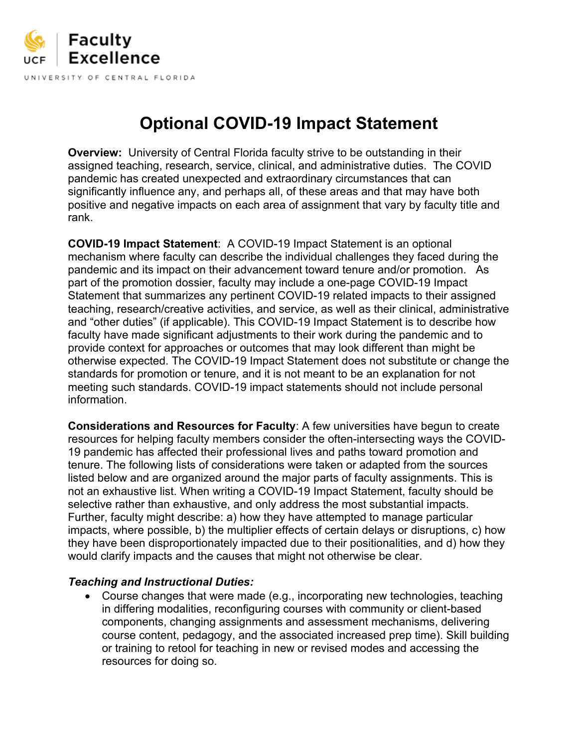

# **Optional COVID-19 Impact Statement**

**Overview:** University of Central Florida faculty strive to be outstanding in their assigned teaching, research, service, clinical, and administrative duties. The COVID pandemic has created unexpected and extraordinary circumstances that can significantly influence any, and perhaps all, of these areas and that may have both positive and negative impacts on each area of assignment that vary by faculty title and rank.

**COVID-19 Impact Statement**: A COVID-19 Impact Statement is an optional mechanism where faculty can describe the individual challenges they faced during the pandemic and its impact on their advancement toward tenure and/or promotion. As part of the promotion dossier, faculty may include a one-page COVID-19 Impact Statement that summarizes any pertinent COVID-19 related impacts to their assigned teaching, research/creative activities, and service, as well as their clinical, administrative and "other duties" (if applicable). This COVID-19 Impact Statement is to describe how faculty have made significant adjustments to their work during the pandemic and to provide context for approaches or outcomes that may look different than might be otherwise expected. The COVID-19 Impact Statement does not substitute or change the standards for promotion or tenure, and it is not meant to be an explanation for not meeting such standards. COVID-19 impact statements should not include personal information.

**Considerations and Resources for Faculty**: A few universities have begun to create resources for helping faculty members consider the often-intersecting ways the COVID-19 pandemic has affected their professional lives and paths toward promotion and tenure. The following lists of considerations were taken or adapted from the sources listed below and are organized around the major parts of faculty assignments. This is not an exhaustive list. When writing a COVID-19 Impact Statement, faculty should be selective rather than exhaustive, and only address the most substantial impacts. Further, faculty might describe: a) how they have attempted to manage particular impacts, where possible, b) the multiplier effects of certain delays or disruptions, c) how they have been disproportionately impacted due to their positionalities, and d) how they would clarify impacts and the causes that might not otherwise be clear.

#### *Teaching and Instructional Duties:*

• Course changes that were made (e.g., incorporating new technologies, teaching in differing modalities, reconfiguring courses with community or client-based components, changing assignments and assessment mechanisms, delivering course content, pedagogy, and the associated increased prep time). Skill building or training to retool for teaching in new or revised modes and accessing the resources for doing so.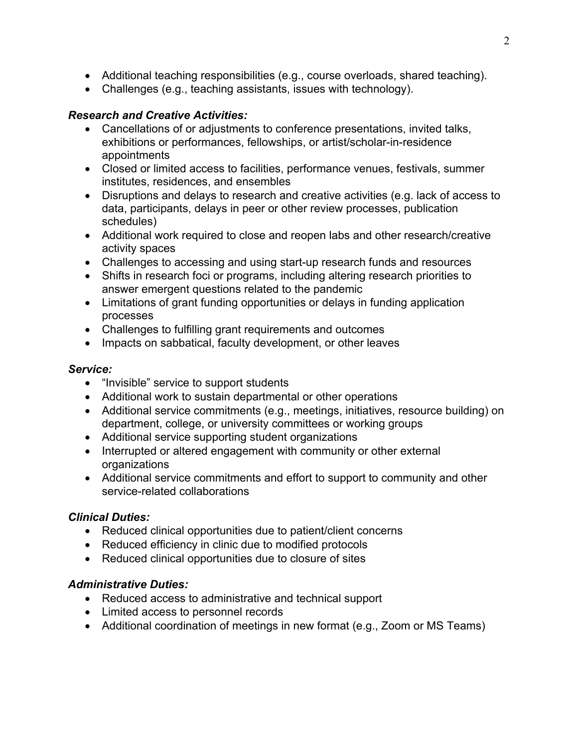- Additional teaching responsibilities (e.g., course overloads, shared teaching).
- Challenges (e.g., teaching assistants, issues with technology).

# *Research and Creative Activities:*

- Cancellations of or adjustments to conference presentations, invited talks, exhibitions or performances, fellowships, or artist/scholar-in-residence appointments
- Closed or limited access to facilities, performance venues, festivals, summer institutes, residences, and ensembles
- Disruptions and delays to research and creative activities (e.g. lack of access to data, participants, delays in peer or other review processes, publication schedules)
- Additional work required to close and reopen labs and other research/creative activity spaces
- Challenges to accessing and using start-up research funds and resources
- Shifts in research foci or programs, including altering research priorities to answer emergent questions related to the pandemic
- Limitations of grant funding opportunities or delays in funding application processes
- Challenges to fulfilling grant requirements and outcomes
- Impacts on sabbatical, faculty development, or other leaves

# *Service:*

- "Invisible" service to support students
- Additional work to sustain departmental or other operations
- Additional service commitments (e.g., meetings, initiatives, resource building) on department, college, or university committees or working groups
- Additional service supporting student organizations
- Interrupted or altered engagement with community or other external organizations
- Additional service commitments and effort to support to community and other service-related collaborations

## *Clinical Duties:*

- Reduced clinical opportunities due to patient/client concerns
- Reduced efficiency in clinic due to modified protocols
- Reduced clinical opportunities due to closure of sites

## *Administrative Duties:*

- Reduced access to administrative and technical support
- Limited access to personnel records
- Additional coordination of meetings in new format (e.g., Zoom or MS Teams)